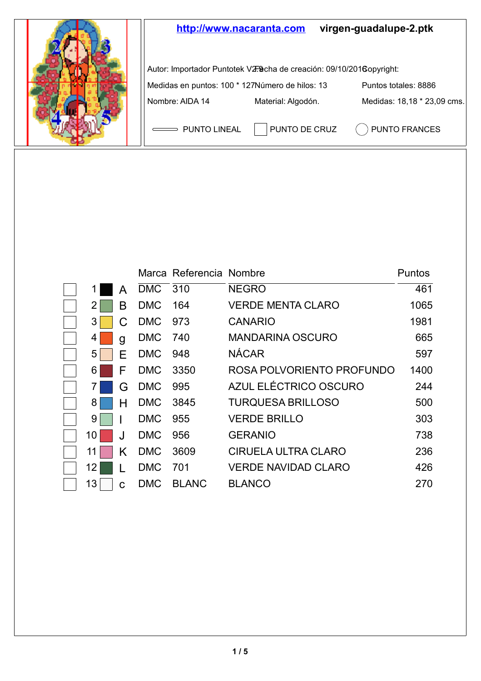

|    |         |            | Marca Referencia Nombre |                            | Puntos |
|----|---------|------------|-------------------------|----------------------------|--------|
|    | А       | DMC 310    |                         | <b>NEGRO</b>               | 461    |
|    | В       | <b>DMC</b> | 164                     | <b>VERDE MENTA CLARO</b>   | 1065   |
| 3  | C       | <b>DMC</b> | 973                     | CANARIO                    | 1981   |
| 4  | g       | <b>DMC</b> | 740                     | <b>MANDARINA OSCURO</b>    | 665    |
| 5  | F       | <b>DMC</b> | 948                     | <b>NÁCAR</b>               | 597    |
| 6  | F       | <b>DMC</b> | 3350                    | ROSA POLVORIENTO PROFUNDO  | 1400   |
|    | G       | <b>DMC</b> | 995                     | AZUL ELÉCTRICO OSCURO      | 244    |
| 8  | н       | <b>DMC</b> | 3845                    | <b>TURQUESA BRILLOSO</b>   | 500    |
| 9  |         | <b>DMC</b> | 955                     | <b>VERDE BRILLO</b>        | 303    |
| 10 | $\cdot$ | <b>DMC</b> | 956                     | <b>GERANIO</b>             | 738    |
| 11 | Κ       | DMC        | 3609                    | CIRUELA ULTRA CLARO        | 236    |
| 12 |         | <b>DMC</b> | 701                     | <b>VERDE NAVIDAD CLARO</b> | 426    |
| 13 | Ć       | <b>DMC</b> | <b>BLANC</b>            | <b>BLANCO</b>              | 270    |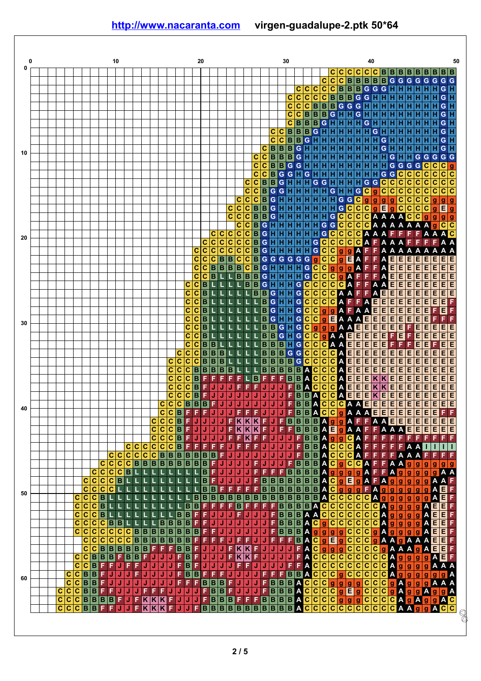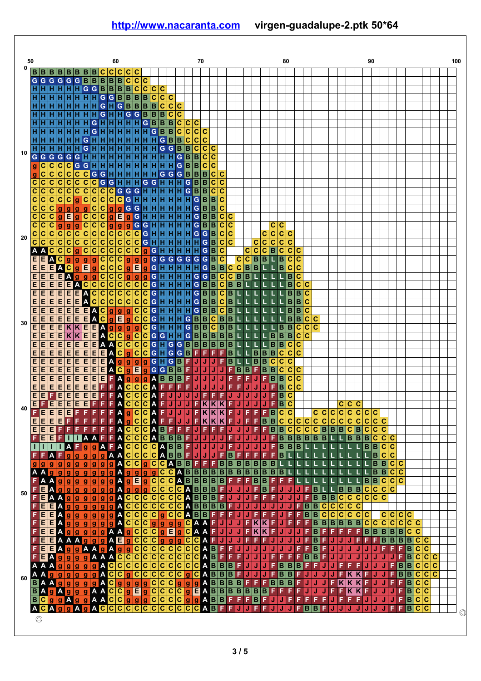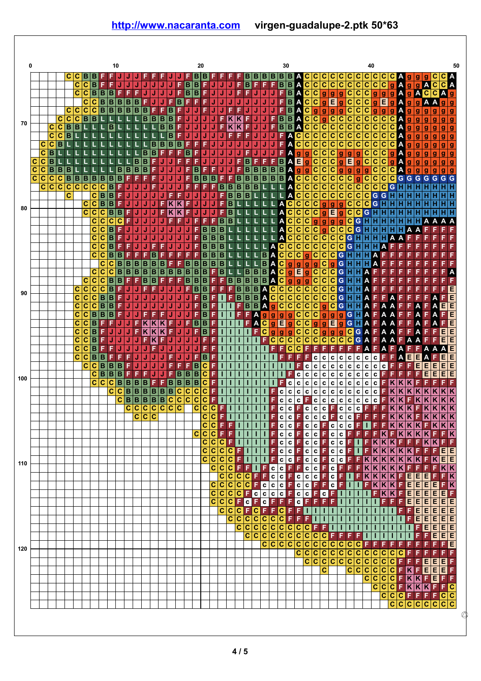